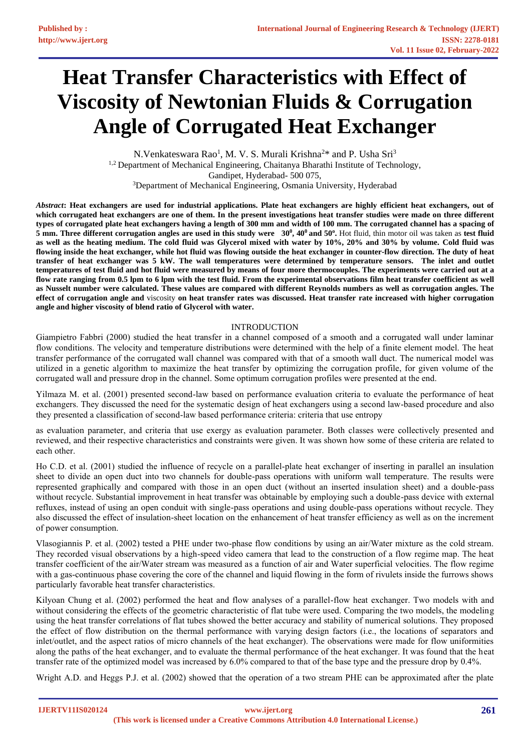# **Heat Transfer Characteristics with Effect of Viscosity of Newtonian Fluids & Corrugation Angle of Corrugated Heat Exchanger**

N.Venkateswara Rao<sup>1</sup>, M. V. S. Murali Krishna<sup>2\*</sup> and P. Usha Sri<sup>3</sup> 1,2 Department of Mechanical Engineering, Chaitanya Bharathi Institute of Technology, Gandipet, Hyderabad- 500 075, <sup>3</sup>Department of Mechanical Engineering, Osmania University, Hyderabad

*Abstract***: Heat exchangers are used for industrial applications. Plate heat exchangers are highly efficient heat exchangers, out of which corrugated heat exchangers are one of them. In the present investigations heat transfer studies were made on three different** types of corrugated plate heat exchangers having a length of 300 mm and width of 100 mm. The corrugated channel has a spacing of 5 mm. Three different corrugation angles are used in this study were  $30^0$ ,  $40^0$  and  $50^\circ$ . Hot fluid, thin motor oil was taken as test fluid **as well as the heating medium. The cold fluid was Glycerol mixed with water by 10%, 20% and 30% by volume. Cold fluid was flowing inside the heat exchanger, while hot fluid was flowing outside the heat exchanger in counter-flow direction. The duty of heat transfer of heat exchanger was 5 kW. The wall temperatures were determined by temperature sensors. The inlet and outlet** temperatures of test fluid and hot fluid were measured by means of four more thermocouples. The experiments were carried out at a flow rate ranging from 0.5 lpm to 6 lpm with the test fluid. From the experimental observations film heat transfer coefficient as well as Nusselt number were calculated. These values are compared with different Reynolds numbers as well as corrugation angles. The **effect of corrugation angle and** viscosity **on heat transfer rates was discussed. Heat transfer rate increased with higher corrugation angle and higher viscosity of blend ratio of Glycerol with water.** 

## INTRODUCTION

Giampietro Fabbri (2000) studied the heat transfer in a channel composed of a smooth and a corrugated wall under laminar flow conditions. The velocity and temperature distributions were determined with the help of a finite element model. The heat transfer performance of the corrugated wall channel was compared with that of a smooth wall duct. The numerical model was utilized in a genetic algorithm to maximize the heat transfer by optimizing the corrugation profile, for given volume of the corrugated wall and pressure drop in the channel. Some optimum corrugation profiles were presented at the end.

Yilmaza M. et al. (2001) presented second-law based on performance evaluation criteria to evaluate the performance of heat exchangers. They discussed the need for the systematic design of heat exchangers using a second law-based procedure and also they presented a classification of second-law based performance criteria: criteria that use entropy

as evaluation parameter, and criteria that use exergy as evaluation parameter. Both classes were collectively presented and reviewed, and their respective characteristics and constraints were given. It was shown how some of these criteria are related to each other.

Ho C.D. et al. (2001) studied the influence of recycle on a parallel-plate heat exchanger of inserting in parallel an insulation sheet to divide an open duct into two channels for double-pass operations with uniform wall temperature. The results were represented graphically and compared with those in an open duct (without an inserted insulation sheet) and a double-pass without recycle. Substantial improvement in heat transfer was obtainable by employing such a double-pass device with external refluxes, instead of using an open conduit with single-pass operations and using double-pass operations without recycle. They also discussed the effect of insulation-sheet location on the enhancement of heat transfer efficiency as well as on the increment of power consumption.

Vlasogiannis P. et al. (2002) tested a PHE under two-phase flow conditions by using an air/Water mixture as the cold stream. They recorded visual observations by a high-speed video camera that lead to the construction of a flow regime map. The heat transfer coefficient of the air/Water stream was measured as a function of air and Water superficial velocities. The flow regime with a gas-continuous phase covering the core of the channel and liquid flowing in the form of rivulets inside the furrows shows particularly favorable heat transfer characteristics.

Kilyoan Chung et al. (2002) performed the heat and flow analyses of a parallel-flow heat exchanger. Two models with and without considering the effects of the geometric characteristic of flat tube were used. Comparing the two models, the modeling using the heat transfer correlations of flat tubes showed the better accuracy and stability of numerical solutions. They proposed the effect of flow distribution on the thermal performance with varying design factors (i.e., the locations of separators and inlet/outlet, and the aspect ratios of micro channels of the heat exchanger). The observations were made for flow uniformities along the paths of the heat exchanger, and to evaluate the thermal performance of the heat exchanger. It was found that the heat transfer rate of the optimized model was increased by 6.0% compared to that of the base type and the pressure drop by 0.4%.

Wright A.D. and Heggs P.J. et al. (2002) showed that the operation of a two stream PHE can be approximated after the plate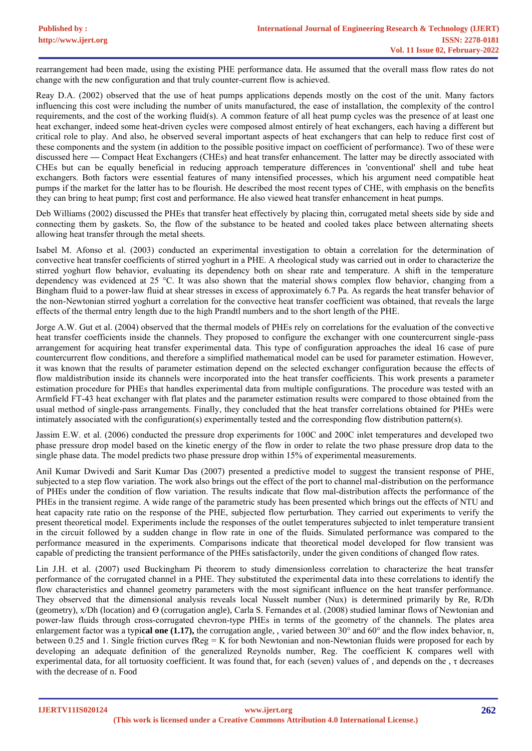rearrangement had been made, using the existing PHE performance data. He assumed that the overall mass flow rates do not change with the new configuration and that truly counter-current flow is achieved.

Reay D.A. (2002) observed that the use of heat pumps applications depends mostly on the cost of the unit. Many factors influencing this cost were including the number of units manufactured, the ease of installation, the complexity of the control requirements, and the cost of the working fluid(s). A common feature of all heat pump cycles was the presence of at least one heat exchanger, indeed some heat-driven cycles were composed almost entirely of heat exchangers, each having a different but critical role to play. And also, he observed several important aspects of heat exchangers that can help to reduce first cost of these components and the system (in addition to the possible positive impact on coefficient of performance). Two of these were discussed here **—** Compact Heat Exchangers (CHEs) and heat transfer enhancement. The latter may be directly associated with CHEs but can be equally beneficial in reducing approach temperature differences in 'conventional' shell and tube heat exchangers. Both factors were essential features of many intensified processes, which his argument need compatible heat pumps if the market for the latter has to be flourish. He described the most recent types of CHE, with emphasis on the benefits they can bring to heat pump; first cost and performance. He also viewed heat transfer enhancement in heat pumps.

Deb Williams (2002) discussed the PHEs that transfer heat effectively by placing thin, corrugated metal sheets side by side and connecting them by gaskets. So, the flow of the substance to be heated and cooled takes place between alternating sheets allowing heat transfer through the metal sheets.

Isabel M. Afonso et al. (2003) conducted an experimental investigation to obtain a correlation for the determination of convective heat transfer coefficients of stirred yoghurt in a PHE. A rheological study was carried out in order to characterize the stirred yoghurt flow behavior, evaluating its dependency both on shear rate and temperature. A shift in the temperature dependency was evidenced at 25 °C. It was also shown that the material shows complex flow behavior, changing from a Bingham fluid to a power-law fluid at shear stresses in excess of approximately 6.7 Pa. As regards the heat transfer behavior of the non-Newtonian stirred yoghurt a correlation for the convective heat transfer coefficient was obtained, that reveals the large effects of the thermal entry length due to the high Prandtl numbers and to the short length of the PHE.

Jorge A.W. Gut et al. (2004) observed that the thermal models of PHEs rely on correlations for the evaluation of the convective heat transfer coefficients inside the channels. They proposed to configure the exchanger with one countercurrent single-pass arrangement for acquiring heat transfer experimental data. This type of configuration approaches the ideal 16 case of pure countercurrent flow conditions, and therefore a simplified mathematical model can be used for parameter estimation. However, it was known that the results of parameter estimation depend on the selected exchanger configuration because the effects of flow maldistribution inside its channels were incorporated into the heat transfer coefficients. This work presents a parameter estimation procedure for PHEs that handles experimental data from multiple configurations. The procedure was tested with an Armfield FT-43 heat exchanger with flat plates and the parameter estimation results were compared to those obtained from the usual method of single-pass arrangements. Finally, they concluded that the heat transfer correlations obtained for PHEs were intimately associated with the configuration(s) experimentally tested and the corresponding flow distribution pattern(s).

Jassim E.W. et al. (2006) conducted the pressure drop experiments for 100C and 200C inlet temperatures and developed two phase pressure drop model based on the kinetic energy of the flow in order to relate the two phase pressure drop data to the single phase data. The model predicts two phase pressure drop within 15% of experimental measurements.

Anil Kumar Dwivedi and Sarit Kumar Das (2007) presented a predictive model to suggest the transient response of PHE, subjected to a step flow variation. The work also brings out the effect of the port to channel mal-distribution on the performance of PHEs under the condition of flow variation. The results indicate that flow mal-distribution affects the performance of the PHEs in the transient regime. A wide range of the parametric study has been presented which brings out the effects of NTU and heat capacity rate ratio on the response of the PHE, subjected flow perturbation. They carried out experiments to verify the present theoretical model. Experiments include the responses of the outlet temperatures subjected to inlet temperature transient in the circuit followed by a sudden change in flow rate in one of the fluids. Simulated performance was compared to the performance measured in the experiments. Comparisons indicate that theoretical model developed for flow transient was capable of predicting the transient performance of the PHEs satisfactorily, under the given conditions of changed flow rates.

Lin J.H. et al. (2007) used Buckingham Pi theorem to study dimensionless correlation to characterize the heat transfer performance of the corrugated channel in a PHE. They substituted the experimental data into these correlations to identify the flow characteristics and channel geometry parameters with the most significant influence on the heat transfer performance. They observed that the dimensional analysis reveals local Nusselt number (Nux) is determined primarily by Re, R/Dh (geometry), x/Dh (location) and ϴ (corrugation angle), Carla S. Fernandes et al. (2008) studied laminar flows of Newtonian and power-law fluids through cross-corrugated chevron-type PHEs in terms of the geometry of the channels. The plates area enlargement factor was a typi**cal one (1.17),** the corrugation angle, , varied between 30° and 60° and the flow index behavior, n, between 0.25 and 1. Single friction curves  $fReg = K$  for both Newtonian and non-Newtonian fluids were proposed for each by developing an adequate definition of the generalized Reynolds number, Reg. The coefficient K compares well with experimental data, for all tortuosity coefficient. It was found that, for each (seven) values of , and depends on the , τ decreases with the decrease of n. Food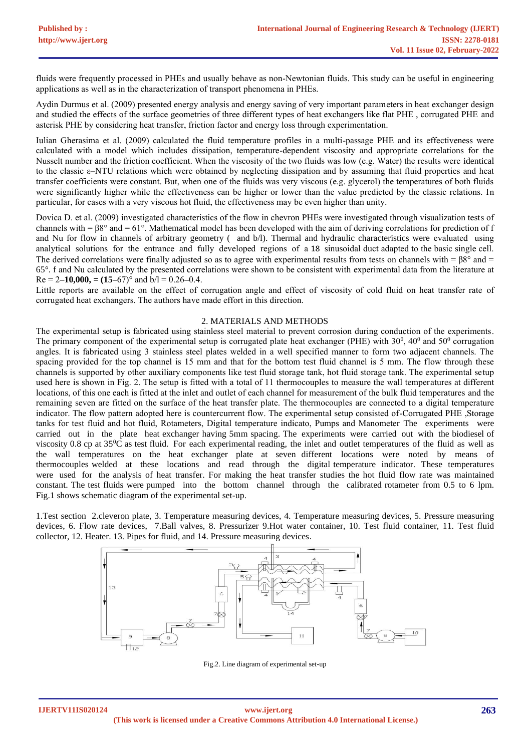fluids were frequently processed in PHEs and usually behave as non-Newtonian fluids. This study can be useful in engineering applications as well as in the characterization of transport phenomena in PHEs.

Aydin Durmus et al. (2009) presented energy analysis and energy saving of very important parameters in heat exchanger design and studied the effects of the surface geometries of three different types of heat exchangers like flat PHE , corrugated PHE and asterisk PHE by considering heat transfer, friction factor and energy loss through experimentation.

Iulian Gherasima et al. (2009) calculated the fluid temperature profiles in a multi-passage PHE and its effectiveness were calculated with a model which includes dissipation, temperature-dependent viscosity and appropriate correlations for the Nusselt number and the friction coefficient. When the viscosity of the two fluids was low (e.g. Water) the results were identical to the classic ε–NTU relations which were obtained by neglecting dissipation and by assuming that fluid properties and heat transfer coefficients were constant. But, when one of the fluids was very viscous (e.g. glycerol) the temperatures of both fluids were significantly higher while the effectiveness can be higher or lower than the value predicted by the classic relations. In particular, for cases with a very viscous hot fluid, the effectiveness may be even higher than unity.

Dovica D. et al. (2009) investigated characteristics of the flow in chevron PHEs were investigated through visualization tests of channels with =  $\beta 8^{\circ}$  and = 61°. Mathematical model has been developed with the aim of deriving correlations for prediction of f and Nu for flow in channels of arbitrary geometry ( and b/l). Thermal and hydraulic characteristics were evaluated using analytical solutions for the entrance and fully developed regions of a 18 sinusoidal duct adapted to the basic single cell. The derived correlations were finally adjusted so as to agree with experimental results from tests on channels with =  $88^\circ$  and = 65°. f and Nu calculated by the presented correlations were shown to be consistent with experimental data from the literature at Re = 2**–10,000, = (15–**67)° and b/l = 0.26**–**0.4.

Little reports are available on the effect of corrugation angle and effect of viscosity of cold fluid on heat transfer rate of corrugated heat exchangers. The authors have made effort in this direction.

### 2. MATERIALS AND METHODS

The experimental setup is fabricated using stainless steel material to prevent corrosion during conduction of the experiments. The primary component of the experimental setup is corrugated plate heat exchanger (PHE) with  $30^0$ ,  $40^0$  and  $50^0$  corrugation angles. It is fabricated using 3 stainless steel plates welded in a well specified manner to form two adjacent channels. The spacing provided for the top channel is 15 mm and that for the bottom test fluid channel is 5 mm. The flow through these channels is supported by other auxiliary components like test fluid storage tank, hot fluid storage tank. The experimental setup used here is shown in Fig. 2. The setup is fitted with a total of 11 thermocouples to measure the wall temperatures at different locations, of this one each is fitted at the inlet and outlet of each channel for measurement of the bulk fluid temperatures and the remaining seven are fitted on the surface of the heat transfer plate. The thermocouples are connected to a digital temperature indicator. The flow pattern adopted here is countercurrent flow. The experimental setup consisted of-Corrugated PHE ,Storage tanks for test fluid and hot fluid, Rotameters, Digital temperature indicato, Pumps and Manometer The experiments were carried out in the plate heat exchanger having 5mm spacing. The experiments were carried out with the biodiesel of viscosity 0.8 cp at  $35\textdegree$ C as test fluid. For each experimental reading, the inlet and outlet temperatures of the fluid as well as the wall temperatures on the heat exchanger plate at seven different locations were noted by means of thermocouples welded at these locations and read through the digital temperature indicator. These temperatures were used for the analysis of heat transfer. For making the heat transfer studies the hot fluid flow rate was maintained constant. The test fluids were pumped into the bottom channel through the calibrated rotameter from 0.5 to 6 lpm. Fig.1 shows schematic diagram of the experimental set-up.

1.Test section 2.cleveron plate, 3. Temperature measuring devices, 4. Temperature measuring devices, 5. Pressure measuring devices, 6. Flow rate devices, 7.Ball valves, 8. Pressurizer 9.Hot water container, 10. Test fluid container, 11. Test fluid collector, 12. Heater. 13. Pipes for fluid, and 14. Pressure measuring devices.



Fig.2. Line diagram of experimental set-up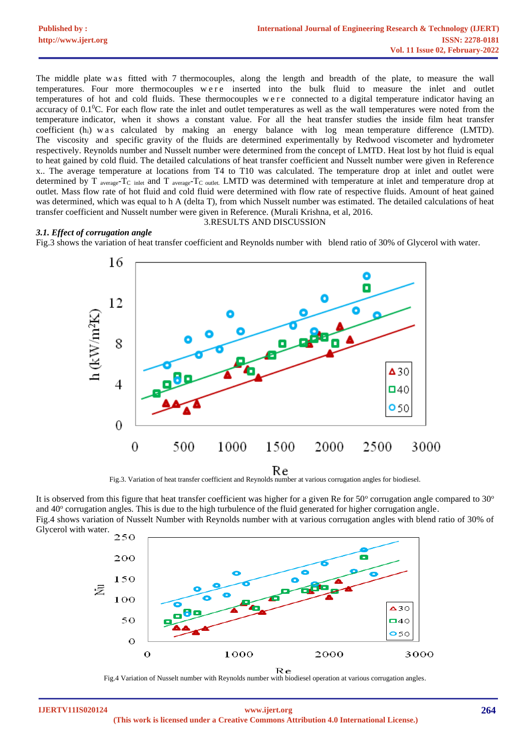| <b>Published by:</b> | <b>International Journal of Engineering Research &amp; Technology (IJERT)</b> |
|----------------------|-------------------------------------------------------------------------------|
| http://www.ijert.org | <b>ISSN: 2278-0181</b>                                                        |
|                      | Vol. 11 Issue 02, February-2022                                               |

The middle plate was fitted with 7 thermocouples, along the length and breadth of the plate, to measure the wall temperatures. Four more thermocouples w e r e inserted into the bulk fluid to measure the inlet and outlet temperatures of hot and cold fluids. These thermocouples were connected to a digital temperature indicator having an accuracy of  $0.1\degree$ C. For each flow rate the inlet and outlet temperatures as well as the wall temperatures were noted from the temperature indicator, when it shows a constant value. For all the heat transfer studies the inside film heat transfer coefficient  $(h_i)$  w as calculated by making an energy balance with log mean temperature difference (LMTD). The viscosity and specific gravity of the fluids are determined experimentally by Redwood viscometer and hydrometer respectively. Reynolds number and Nusselt number were determined from the concept of LMTD. Heat lost by hot fluid is equal to heat gained by cold fluid. The detailed calculations of heat transfer coefficient and Nusselt number were given in Reference x.. The average temperature at locations from T4 to T10 was calculated. The temperature drop at inlet and outlet were determined by T average-T<sub>C</sub> inlet and T average-T<sub>C</sub> outlet. LMTD was determined with temperature at inlet and temperature drop at outlet. Mass flow rate of hot fluid and cold fluid were determined with flow rate of respective fluids. Amount of heat gained was determined, which was equal to h A (delta T), from which Nusselt number was estimated. The detailed calculations of heat transfer coefficient and Nusselt number were given in Reference. (Murali Krishna, et al, 2016.

#### *3.1. Effect of corrugation angle*

# 3.RESULTS AND DISCUSSION

Fig.3 shows the variation of heat transfer coefficient and Reynolds number with blend ratio of 30% of Glycerol with water.



It is observed from this figure that heat transfer coefficient was higher for a given Re for 50 $^{\circ}$  corrugation angle compared to 30 $^{\circ}$ and 40° corrugation angles. This is due to the high turbulence of the fluid generated for higher corrugation angle. Fig.4 shows variation of Nusselt Number with Reynolds number with at various corrugation angles with blend ratio of 30% of Glycerol with water.





**IJERTV11IS020124**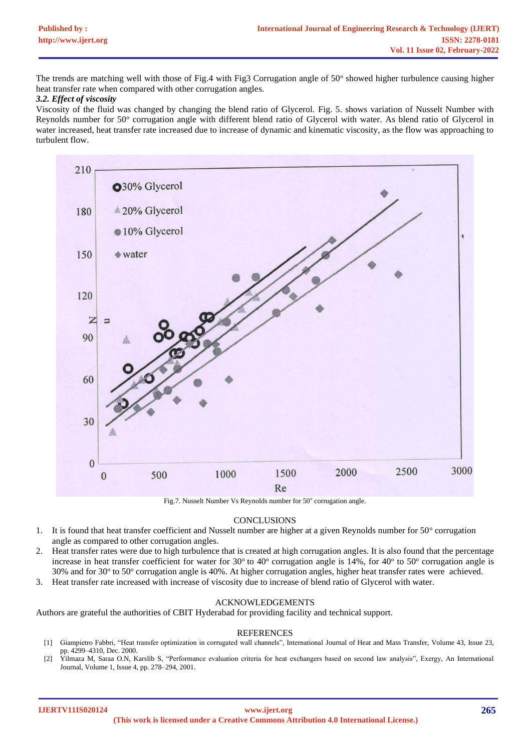The trends are matching well with those of Fig.4 with Fig3 Corrugation angle of 50° showed higher turbulence causing higher heat transfer rate when compared with other corrugation angles.

## *3.2. Effect of viscosity*

Viscosity of the fluid was changed by changing the blend ratio of Glycerol. Fig. 5. shows variation of Nusselt Number with Reynolds number for 50° corrugation angle with different blend ratio of Glycerol with water. As blend ratio of Glycerol in water increased, heat transfer rate increased due to increase of dynamic and kinematic viscosity, as the flow was approaching to turbulent flow.



Fig.7. Nusselt Number Vs Reynolds number for 50° corrugation angle.

## **CONCLUSIONS**

- 1. It is found that heat transfer coefficient and Nusselt number are higher at a given Reynolds number for  $50^\circ$  corrugation angle as compared to other corrugation angles.
- 2. Heat transfer rates were due to high turbulence that is created at high corrugation angles. It is also found that the percentage increase in heat transfer coefficient for water for  $30^{\circ}$  to  $40^{\circ}$  corrugation angle is 14%, for  $40^{\circ}$  to  $50^{\circ}$  corrugation angle is 30% and for 30° to 50° corrugation angle is 40%. At higher corrugation angles, higher heat transfer rates were achieved.
- 3. Heat transfer rate increased with increase of viscosity due to increase of blend ratio of Glycerol with water.

## ACKNOWLEDGEMENTS

Authors are grateful the authorities of CBIT Hyderabad for providing facility and technical support.

## REFERENCES

- [1] Giampietro Fabbri, "Heat transfer optimization in corrugated wall channels", International Journal of Heat and Mass Transfer, Volume 43, Issue 23, pp. 4299–4310, Dec. 2000.
- [2] Yilmaza M, Saraa O.N, Karslib S, "Performance evaluation criteria for heat exchangers based on second law analysis", Exergy, An International Journal, Volume 1, Issue 4, pp. 278–294, 2001.

**IJERTV11IS020124**